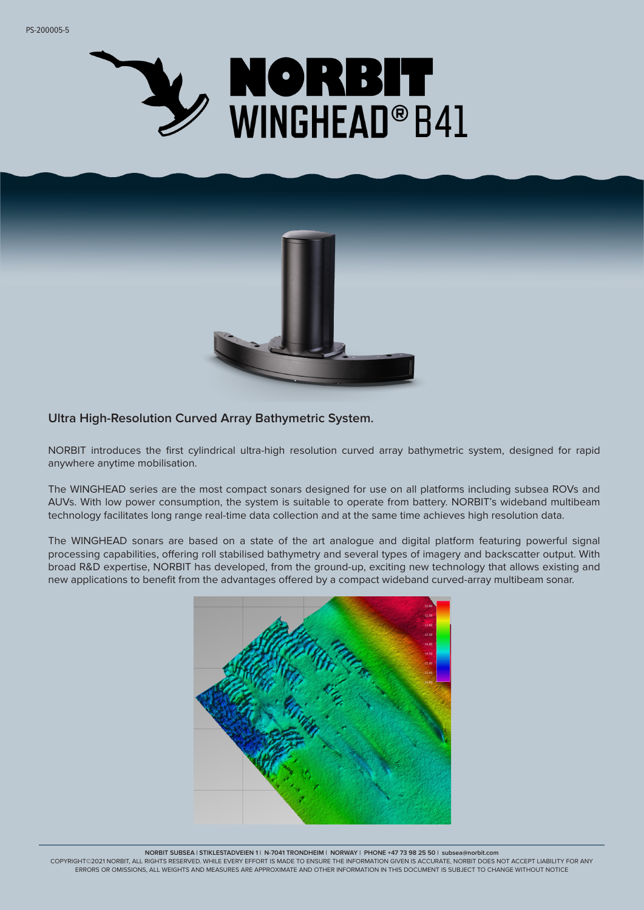



### **Ultra High-Resolution Curved Array Bathymetric System.**

NORBIT introduces the first cylindrical ultra-high resolution curved array bathymetric system, designed for rapid anywhere anytime mobilisation.

The WINGHEAD series are the most compact sonars designed for use on all platforms including subsea ROVs and AUVs. With low power consumption, the system is suitable to operate from battery. NORBIT's wideband multibeam technology facilitates long range real-time data collection and at the same time achieves high resolution data.

The WINGHEAD sonars are based on a state of the art analogue and digital platform featuring powerful signal processing capabilities, offering roll stabilised bathymetry and several types of imagery and backscatter output. With broad R&D expertise, NORBIT has developed, from the ground-up, exciting new technology that allows existing and new applications to benefit from the advantages offered by a compact wideband curved-array multibeam sonar.



**NORBIT SUBSEA | STIKLESTADVEIEN 1 | N-7041 TRONDHEIM | NORWAY | PHONE +47 73 98 25 50 | subsea@norbit.com**

COPYRIGHT©2021 NORBIT, ALL RIGHTS RESERVED. WHILE EVERY EFFORT IS MADE TO ENSURE THE INFORMATION GIVEN IS ACCURATE, NORBIT DOES NOT ACCEPT LIABILITY FOR ANY ERRORS OR OMISSIONS, ALL WEIGHTS AND MEASURES ARE APPROXIMATE AND OTHER INFORMATION IN THIS DOCUMENT IS SUBJECT TO CHANGE WITHOUT NOTICE